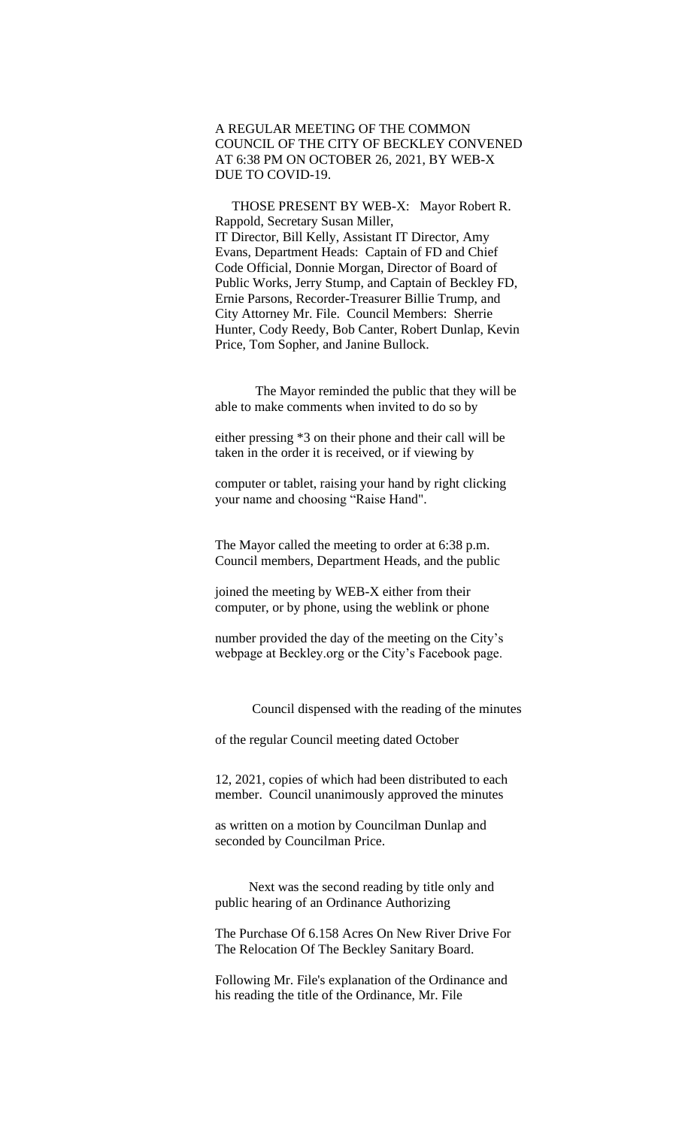A REGULAR MEETING OF THE COMMON COUNCIL OF THE CITY OF BECKLEY CONVENED AT 6:38 PM ON OCTOBER 26, 2021, BY WEB-X DUE TO COVID-19.

 THOSE PRESENT BY WEB-X: Mayor Robert R. Rappold, Secretary Susan Miller, IT Director, Bill Kelly, Assistant IT Director, Amy Evans, Department Heads: Captain of FD and Chief Code Official, Donnie Morgan, Director of Board of Public Works, Jerry Stump, and Captain of Beckley FD, Ernie Parsons, Recorder-Treasurer Billie Trump, and City Attorney Mr. File. Council Members: Sherrie Hunter, Cody Reedy, Bob Canter, Robert Dunlap, Kevin Price, Tom Sopher, and Janine Bullock.

 The Mayor reminded the public that they will be able to make comments when invited to do so by

either pressing \*3 on their phone and their call will be taken in the order it is received, or if viewing by

computer or tablet, raising your hand by right clicking your name and choosing "Raise Hand".

The Mayor called the meeting to order at 6:38 p.m. Council members, Department Heads, and the public

joined the meeting by WEB-X either from their computer, or by phone, using the weblink or phone

number provided the day of the meeting on the City's webpage at Beckley.org or the City's Facebook page.

Council dispensed with the reading of the minutes

of the regular Council meeting dated October

12, 2021, copies of which had been distributed to each member. Council unanimously approved the minutes

as written on a motion by Councilman Dunlap and seconded by Councilman Price.

 Next was the second reading by title only and public hearing of an Ordinance Authorizing

The Purchase Of 6.158 Acres On New River Drive For The Relocation Of The Beckley Sanitary Board.

Following Mr. File's explanation of the Ordinance and his reading the title of the Ordinance, Mr. File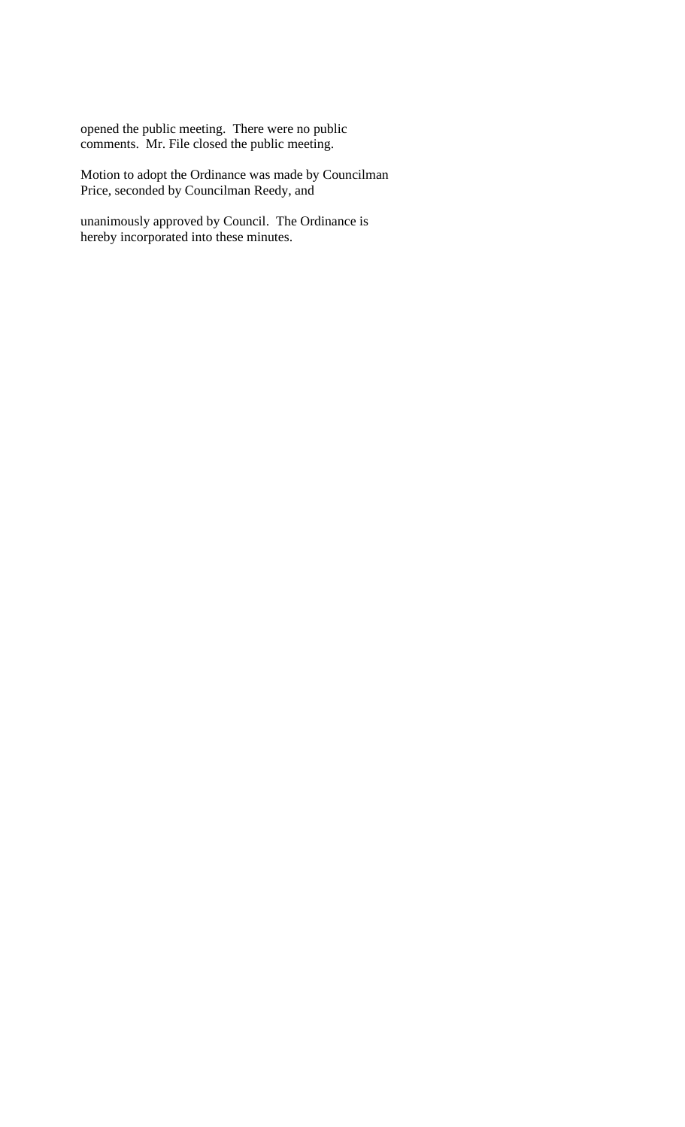opened the public meeting. There were no public comments. Mr. File closed the public meeting.

Motion to adopt the Ordinance was made by Councilman Price, seconded by Councilman Reedy, and

unanimously approved by Council. The Ordinance is hereby incorporated into these minutes.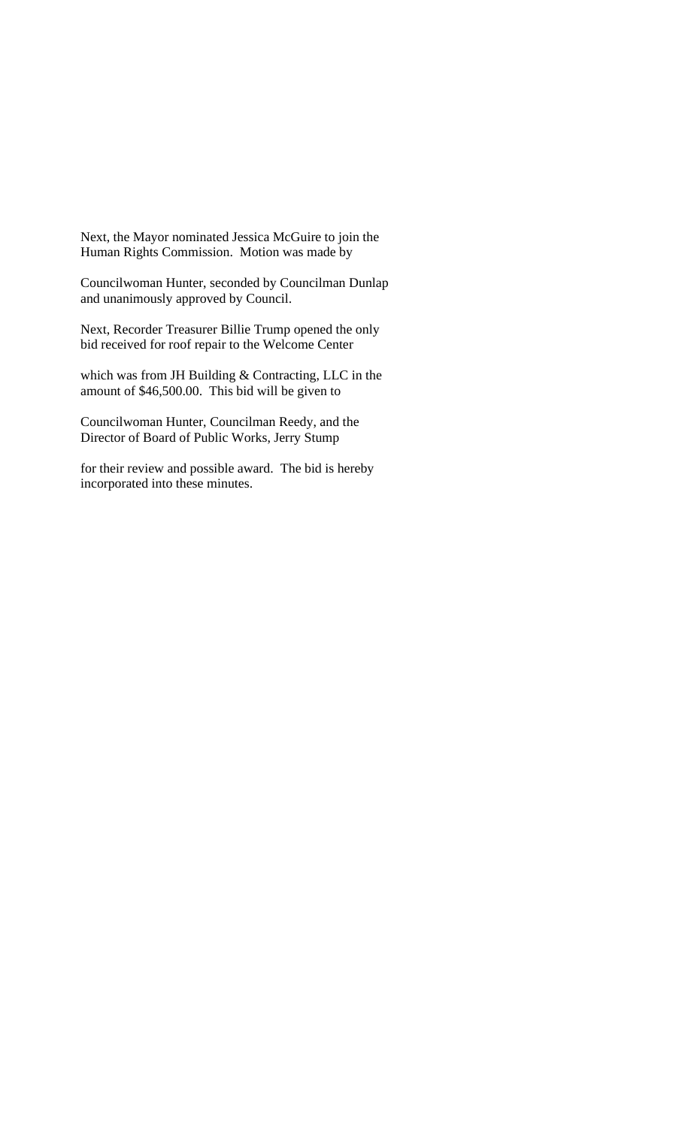Next, the Mayor nominated Jessica McGuire to join the Human Rights Commission. Motion was made by

Councilwoman Hunter, seconded by Councilman Dunlap and unanimously approved by Council.

Next, Recorder Treasurer Billie Trump opened the only bid received for roof repair to the Welcome Center

which was from JH Building & Contracting, LLC in the amount of \$46,500.00. This bid will be given to

Councilwoman Hunter, Councilman Reedy, and the Director of Board of Public Works, Jerry Stump

for their review and possible award. The bid is hereby incorporated into these minutes.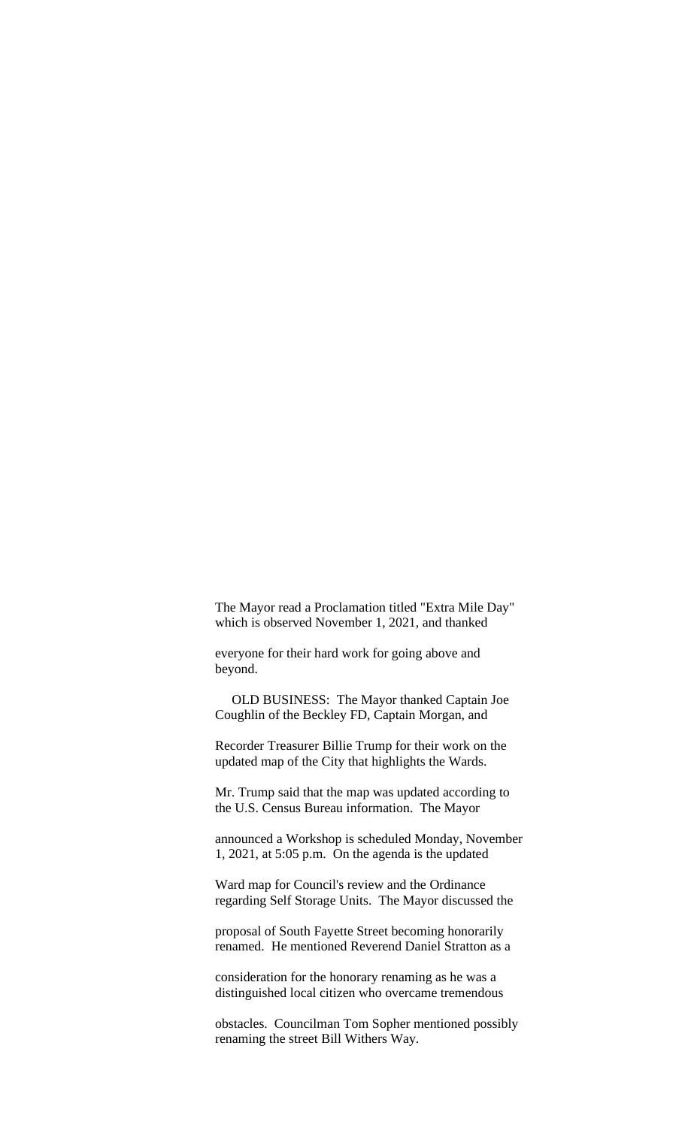The Mayor read a Proclamation titled "Extra Mile Day" which is observed November 1, 2021, and thanked

everyone for their hard work for going above and beyond.

 OLD BUSINESS: The Mayor thanked Captain Joe Coughlin of the Beckley FD, Captain Morgan, and

Recorder Treasurer Billie Trump for their work on the updated map of the City that highlights the Wards.

Mr. Trump said that the map was updated according to the U.S. Census Bureau information. The Mayor

announced a Workshop is scheduled Monday, November 1, 2021, at 5:05 p.m. On the agenda is the updated

Ward map for Council's review and the Ordinance regarding Self Storage Units. The Mayor discussed the

proposal of South Fayette Street becoming honorarily renamed. He mentioned Reverend Daniel Stratton as a

consideration for the honorary renaming as he was a distinguished local citizen who overcame tremendous

obstacles. Councilman Tom Sopher mentioned possibly renaming the street Bill Withers Way.